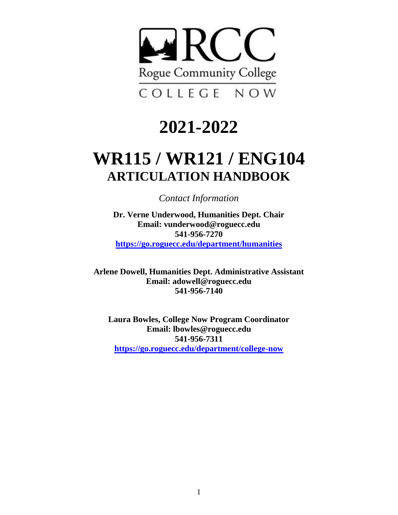

# **2021-2022**

# **WR115 / WR121 / ENG104 ARTICULATION HANDBOOK**

*Contact Information*

**Dr. Verne Underwood, Humanities Dept. Chair Email: vunderwood@roguecc.edu 541-956-7270 <https://go.roguecc.edu/department/humanities>**

**Arlene Dowell, Humanities Dept. Administrative Assistant Email: adowell@roguecc.edu 541-956-7140**

**Laura Bowles, College Now Program Coordinator Email: lbowles@roguecc.edu 541-956-7311 <https://go.roguecc.edu/department/college-now>**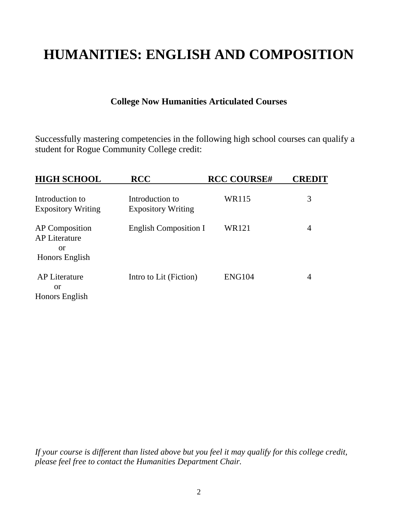## **HUMANITIES: ENGLISH AND COMPOSITION**

## **College Now Humanities Articulated Courses**

Successfully mastering competencies in the following high school courses can qualify a student for Rogue Community College credit:

| <b>HIGH SCHOOL</b>                                             | <b>RCC</b>                                   | <b>RCC COURSE#</b> | <b>CREDIT</b> |
|----------------------------------------------------------------|----------------------------------------------|--------------------|---------------|
| Introduction to<br><b>Expository Writing</b>                   | Introduction to<br><b>Expository Writing</b> | WR115              | 3             |
| AP Composition<br><b>AP Literature</b><br>or                   | <b>English Composition I</b>                 | WR121              | 4             |
| Honors English<br><b>AP Literature</b><br>or<br>Honors English | Intro to Lit (Fiction)                       | <b>ENG104</b>      | 4             |

*If your course is different than listed above but you feel it may qualify for this college credit, please feel free to contact the Humanities Department Chair.*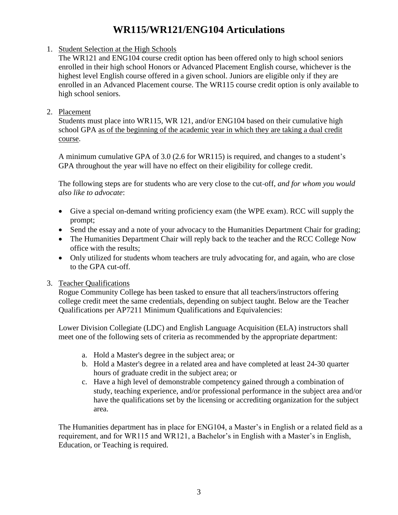## **WR115/WR121/ENG104 Articulations**

## 1. Student Selection at the High Schools

The WR121 and ENG104 course credit option has been offered only to high school seniors enrolled in their high school Honors or Advanced Placement English course, whichever is the highest level English course offered in a given school. Juniors are eligible only if they are enrolled in an Advanced Placement course. The WR115 course credit option is only available to high school seniors.

## 2. Placement

 Students must place into WR115, WR 121, and/or ENG104 based on their cumulative high school GPA as of the beginning of the academic year in which they are taking a dual credit course.

A minimum cumulative GPA of 3.0 (2.6 for WR115) is required, and changes to a student's GPA throughout the year will have no effect on their eligibility for college credit.

The following steps are for students who are very close to the cut-off, *and for whom you would also like to advocate*:

- Give a special on-demand writing proficiency exam (the WPE exam). RCC will supply the prompt;
- Send the essay and a note of your advocacy to the Humanities Department Chair for grading;
- The Humanities Department Chair will reply back to the teacher and the RCC College Now office with the results;
- Only utilized for students whom teachers are truly advocating for, and again, who are close to the GPA cut-off.

## 3. Teacher Qualifications

Rogue Community College has been tasked to ensure that all teachers/instructors offering college credit meet the same credentials, depending on subject taught. Below are the Teacher Qualifications per AP7211 Minimum Qualifications and Equivalencies:

Lower Division Collegiate (LDC) and English Language Acquisition (ELA) instructors shall meet one of the following sets of criteria as recommended by the appropriate department:

- a. Hold a Master's degree in the subject area; or
- b. Hold a Master's degree in a related area and have completed at least 24-30 quarter hours of graduate credit in the subject area; or
- c. Have a high level of demonstrable competency gained through a combination of study, teaching experience, and/or professional performance in the subject area and/or have the qualifications set by the licensing or accrediting organization for the subject area.

The Humanities department has in place for ENG104, a Master's in English or a related field as a requirement, and for WR115 and WR121, a Bachelor's in English with a Master's in English, Education, or Teaching is required.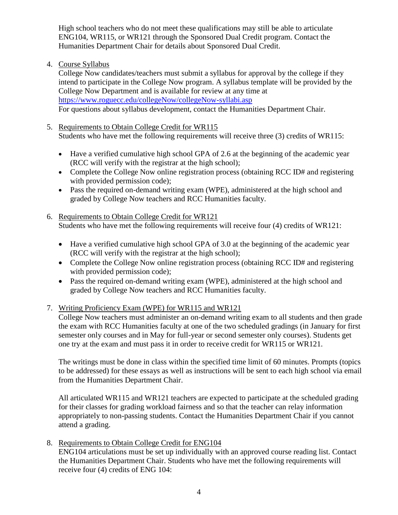High school teachers who do not meet these qualifications may still be able to articulate ENG104, WR115, or WR121 through the Sponsored Dual Credit program. Contact the Humanities Department Chair for details about Sponsored Dual Credit.

4. Course Syllabus

College Now candidates/teachers must submit a syllabus for approval by the college if they intend to participate in the College Now program. A syllabus template will be provided by the College Now Department and is available for review at any time at <https://www.roguecc.edu/collegeNow/collegeNow-syllabi.asp> For questions about syllabus development, contact the Humanities Department Chair.

- 5. Requirements to Obtain College Credit for WR115 Students who have met the following requirements will receive three (3) credits of WR115:
	- Have a verified cumulative high school GPA of 2.6 at the beginning of the academic year (RCC will verify with the registrar at the high school);
	- Complete the College Now online registration process (obtaining RCC ID# and registering with provided permission code);
	- Pass the required on-demand writing exam (WPE), administered at the high school and graded by College Now teachers and RCC Humanities faculty.
- 6. Requirements to Obtain College Credit for WR121 Students who have met the following requirements will receive four (4) credits of WR121:
	- Have a verified cumulative high school GPA of 3.0 at the beginning of the academic year (RCC will verify with the registrar at the high school);
	- Complete the College Now online registration process (obtaining RCC ID# and registering with provided permission code);
	- Pass the required on-demand writing exam (WPE), administered at the high school and graded by College Now teachers and RCC Humanities faculty.
- 7. Writing Proficiency Exam (WPE) for WR115 and WR121

College Now teachers must administer an on-demand writing exam to all students and then grade the exam with RCC Humanities faculty at one of the two scheduled gradings (in January for first semester only courses and in May for full-year or second semester only courses). Students get one try at the exam and must pass it in order to receive credit for WR115 or WR121.

The writings must be done in class within the specified time limit of 60 minutes. Prompts (topics to be addressed) for these essays as well as instructions will be sent to each high school via email from the Humanities Department Chair.

All articulated WR115 and WR121 teachers are expected to participate at the scheduled grading for their classes for grading workload fairness and so that the teacher can relay information appropriately to non-passing students. Contact the Humanities Department Chair if you cannot attend a grading.

8. Requirements to Obtain College Credit for ENG104

ENG104 articulations must be set up individually with an approved course reading list. Contact the Humanities Department Chair. Students who have met the following requirements will receive four (4) credits of ENG 104: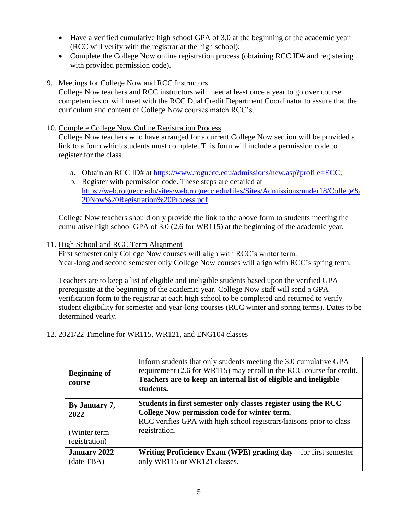- Have a verified cumulative high school GPA of 3.0 at the beginning of the academic year (RCC will verify with the registrar at the high school);
- Complete the College Now online registration process (obtaining RCC ID# and registering with provided permission code).
- 9. Meetings for College Now and RCC Instructors

College Now teachers and RCC instructors will meet at least once a year to go over course competencies or will meet with the RCC Dual Credit Department Coordinator to assure that the curriculum and content of College Now courses match RCC's.

10. Complete College Now Online Registration Process

College Now teachers who have arranged for a current College Now section will be provided a link to a form which students must complete. This form will include a permission code to register for the class.

- a. Obtain an RCC ID# at [https://www.roguecc.edu/admissions/new.asp?profile=ECC;](https://www.roguecc.edu/admissions/new.asp?profile=ECC)
- b. Register with permission code. These steps are detailed at [https://web.roguecc.edu/sites/web.roguecc.edu/files/Sites/Admissions/under18/College%](https://web.roguecc.edu/sites/web.roguecc.edu/files/Sites/Admissions/under18/College%20Now%20Registration%20Process.pdf) [20Now%20Registration%20Process.pdf](https://web.roguecc.edu/sites/web.roguecc.edu/files/Sites/Admissions/under18/College%20Now%20Registration%20Process.pdf)

College Now teachers should only provide the link to the above form to students meeting the cumulative high school GPA of 3.0 (2.6 for WR115) at the beginning of the academic year.

11. High School and RCC Term Alignment

First semester only College Now courses will align with RCC's winter term. Year-long and second semester only College Now courses will align with RCC's spring term.

Teachers are to keep a list of eligible and ineligible students based upon the verified GPA prerequisite at the beginning of the academic year. College Now staff will send a GPA verification form to the registrar at each high school to be completed and returned to verify student eligibility for semester and year-long courses (RCC winter and spring terms). Dates to be determined yearly.

12. 2021/22 Timeline for WR115, WR121, and ENG104 classes

| <b>Beginning of</b><br>course | Inform students that only students meeting the 3.0 cumulative GPA<br>requirement (2.6 for WR115) may enroll in the RCC course for credit.<br>Teachers are to keep an internal list of eligible and ineligible<br>students. |
|-------------------------------|----------------------------------------------------------------------------------------------------------------------------------------------------------------------------------------------------------------------------|
| By January 7,                 | Students in first semester only classes register using the RCC                                                                                                                                                             |
| 2022                          | College Now permission code for winter term.                                                                                                                                                                               |
| (Winter term)                 | RCC verifies GPA with high school registrars/liaisons prior to class                                                                                                                                                       |
| registration)                 | registration.                                                                                                                                                                                                              |
| <b>January 2022</b>           | Writing Proficiency Exam (WPE) grading $day -$ for first semester                                                                                                                                                          |
| (date TBA)                    | only WR115 or WR121 classes.                                                                                                                                                                                               |